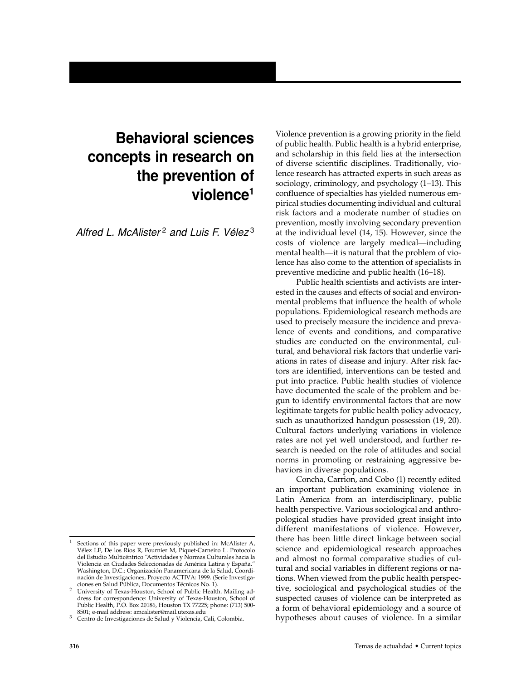# **Behavioral sciences concepts in research on the prevention of violence1**

*Alfred L. McAlister* <sup>2</sup> *and Luis F. Vélez* <sup>3</sup>

Violence prevention is a growing priority in the field of public health. Public health is a hybrid enterprise, and scholarship in this field lies at the intersection of diverse scientific disciplines. Traditionally, violence research has attracted experts in such areas as sociology, criminology, and psychology (1–13). This confluence of specialties has yielded numerous empirical studies documenting individual and cultural risk factors and a moderate number of studies on prevention, mostly involving secondary prevention at the individual level (14, 15). However, since the costs of violence are largely medical—including mental health—it is natural that the problem of violence has also come to the attention of specialists in preventive medicine and public health (16–18).

Public health scientists and activists are interested in the causes and effects of social and environmental problems that influence the health of whole populations. Epidemiological research methods are used to precisely measure the incidence and prevalence of events and conditions, and comparative studies are conducted on the environmental, cultural, and behavioral risk factors that underlie variations in rates of disease and injury. After risk factors are identified, interventions can be tested and put into practice. Public health studies of violence have documented the scale of the problem and begun to identify environmental factors that are now legitimate targets for public health policy advocacy, such as unauthorized handgun possession (19, 20). Cultural factors underlying variations in violence rates are not yet well understood, and further research is needed on the role of attitudes and social norms in promoting or restraining aggressive behaviors in diverse populations.

Concha, Carrion, and Cobo (1) recently edited an important publication examining violence in Latin America from an interdisciplinary, public health perspective. Various sociological and anthropological studies have provided great insight into different manifestations of violence. However, there has been little direct linkage between social science and epidemiological research approaches and almost no formal comparative studies of cultural and social variables in different regions or nations. When viewed from the public health perspective, sociological and psychological studies of the suspected causes of violence can be interpreted as a form of behavioral epidemiology and a source of hypotheses about causes of violence. In a similar

Sections of this paper were previously published in: McAlister A, Vélez LF, De los Ríos R, Fournier M, Piquet-Carneiro L. Protocolo del Estudio Multicéntrico "Actividades y Normas Culturales hacia la Violencia en Ciudades Seleccionadas de América Latina y España." Washington, D.C.: Organización Panamericana de la Salud, Coordinación de Investigaciones, Proyecto ACTIVA: 1999. (Serie Investiga-

ciones en Salud Pública, Documentos Técnicos No. 1). 2 University of Texas-Houston, School of Public Health. Mailing address for correspondence: University of Texas-Houston, School of Public Health, P.O. Box 20186, Houston TX 77225; phone: (713) 500-

<sup>&</sup>lt;sup>3</sup> Centro de Investigaciones de Salud y Violencia, Cali, Colombia.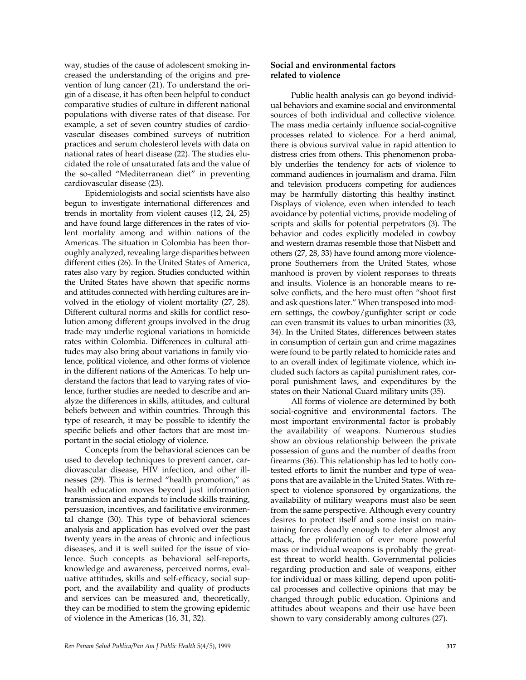way, studies of the cause of adolescent smoking increased the understanding of the origins and prevention of lung cancer (21). To understand the origin of a disease, it has often been helpful to conduct comparative studies of culture in different national populations with diverse rates of that disease. For example, a set of seven country studies of cardiovascular diseases combined surveys of nutrition practices and serum cholesterol levels with data on national rates of heart disease (22). The studies elucidated the role of unsaturated fats and the value of the so-called "Mediterranean diet" in preventing cardiovascular disease (23).

Epidemiologists and social scientists have also begun to investigate international differences and trends in mortality from violent causes (12, 24, 25) and have found large differences in the rates of violent mortality among and within nations of the Americas. The situation in Colombia has been thoroughly analyzed, revealing large disparities between different cities (26). In the United States of America, rates also vary by region. Studies conducted within the United States have shown that specific norms and attitudes connected with herding cultures are involved in the etiology of violent mortality (27, 28). Different cultural norms and skills for conflict resolution among different groups involved in the drug trade may underlie regional variations in homicide rates within Colombia. Differences in cultural attitudes may also bring about variations in family violence, political violence, and other forms of violence in the different nations of the Americas. To help understand the factors that lead to varying rates of violence, further studies are needed to describe and analyze the differences in skills, attitudes, and cultural beliefs between and within countries. Through this type of research, it may be possible to identify the specific beliefs and other factors that are most important in the social etiology of violence.

Concepts from the behavioral sciences can be used to develop techniques to prevent cancer, cardiovascular disease, HIV infection, and other illnesses (29). This is termed "health promotion," as health education moves beyond just information transmission and expands to include skills training, persuasion, incentives, and facilitative environmental change (30). This type of behavioral sciences analysis and application has evolved over the past twenty years in the areas of chronic and infectious diseases, and it is well suited for the issue of violence. Such concepts as behavioral self-reports, knowledge and awareness, perceived norms, evaluative attitudes, skills and self-efficacy, social support, and the availability and quality of products and services can be measured and, theoretically, they can be modified to stem the growing epidemic of violence in the Americas (16, 31, 32).

### **Social and environmental factors related to violence**

Public health analysis can go beyond individual behaviors and examine social and environmental sources of both individual and collective violence. The mass media certainly influence social-cognitive processes related to violence. For a herd animal, there is obvious survival value in rapid attention to distress cries from others. This phenomenon probably underlies the tendency for acts of violence to command audiences in journalism and drama. Film and television producers competing for audiences may be harmfully distorting this healthy instinct. Displays of violence, even when intended to teach avoidance by potential victims, provide modeling of scripts and skills for potential perpetrators (3). The behavior and codes explicitly modeled in cowboy and western dramas resemble those that Nisbett and others (27, 28, 33) have found among more violenceprone Southerners from the United States, whose manhood is proven by violent responses to threats and insults. Violence is an honorable means to resolve conflicts, and the hero must often "shoot first and ask questions later." When transposed into modern settings, the cowboy/gunfighter script or code can even transmit its values to urban minorities (33, 34). In the United States, differences between states in consumption of certain gun and crime magazines were found to be partly related to homicide rates and to an overall index of legitimate violence, which included such factors as capital punishment rates, corporal punishment laws, and expenditures by the states on their National Guard military units (35).

All forms of violence are determined by both social-cognitive and environmental factors. The most important environmental factor is probably the availability of weapons. Numerous studies show an obvious relationship between the private possession of guns and the number of deaths from firearms (36). This relationship has led to hotly contested efforts to limit the number and type of weapons that are available in the United States. With respect to violence sponsored by organizations, the availability of military weapons must also be seen from the same perspective. Although every country desires to protect itself and some insist on maintaining forces deadly enough to deter almost any attack, the proliferation of ever more powerful mass or individual weapons is probably the greatest threat to world health. Governmental policies regarding production and sale of weapons, either for individual or mass killing, depend upon political processes and collective opinions that may be changed through public education. Opinions and attitudes about weapons and their use have been shown to vary considerably among cultures (27).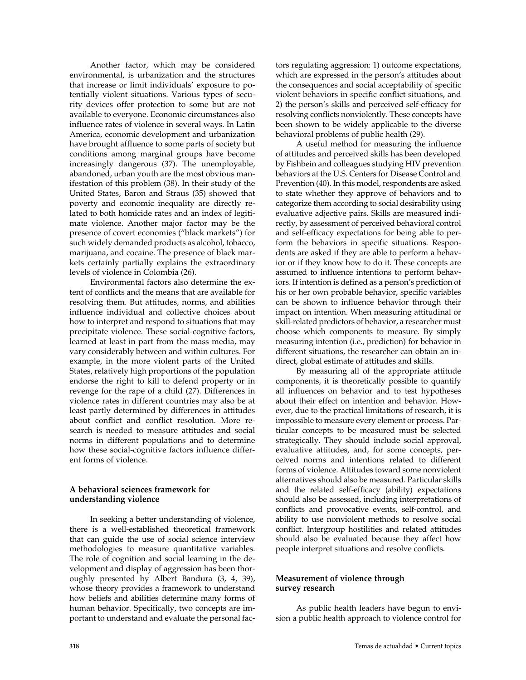Another factor, which may be considered environmental, is urbanization and the structures that increase or limit individuals' exposure to potentially violent situations. Various types of security devices offer protection to some but are not available to everyone. Economic circumstances also influence rates of violence in several ways. In Latin America, economic development and urbanization have brought affluence to some parts of society but conditions among marginal groups have become increasingly dangerous (37). The unemployable, abandoned, urban youth are the most obvious manifestation of this problem (38). In their study of the United States, Baron and Straus (35) showed that poverty and economic inequality are directly related to both homicide rates and an index of legitimate violence. Another major factor may be the presence of covert economies ("black markets") for such widely demanded products as alcohol, tobacco, marijuana, and cocaine. The presence of black markets certainly partially explains the extraordinary levels of violence in Colombia (26).

Environmental factors also determine the extent of conflicts and the means that are available for resolving them. But attitudes, norms, and abilities influence individual and collective choices about how to interpret and respond to situations that may precipitate violence. These social-cognitive factors, learned at least in part from the mass media, may vary considerably between and within cultures. For example, in the more violent parts of the United States, relatively high proportions of the population endorse the right to kill to defend property or in revenge for the rape of a child (27). Differences in violence rates in different countries may also be at least partly determined by differences in attitudes about conflict and conflict resolution. More research is needed to measure attitudes and social norms in different populations and to determine how these social-cognitive factors influence different forms of violence.

## **A behavioral sciences framework for understanding violence**

In seeking a better understanding of violence, there is a well-established theoretical framework that can guide the use of social science interview methodologies to measure quantitative variables. The role of cognition and social learning in the development and display of aggression has been thoroughly presented by Albert Bandura (3, 4, 39), whose theory provides a framework to understand how beliefs and abilities determine many forms of human behavior. Specifically, two concepts are important to understand and evaluate the personal fac-

tors regulating aggression: 1) outcome expectations, which are expressed in the person's attitudes about the consequences and social acceptability of specific violent behaviors in specific conflict situations, and 2) the person's skills and perceived self-efficacy for resolving conflicts nonviolently. These concepts have been shown to be widely applicable to the diverse behavioral problems of public health (29).

A useful method for measuring the influence of attitudes and perceived skills has been developed by Fishbein and colleagues studying HIV prevention behaviors at the U.S. Centers for Disease Control and Prevention (40). In this model, respondents are asked to state whether they approve of behaviors and to categorize them according to social desirability using evaluative adjective pairs. Skills are measured indirectly, by assessment of perceived behavioral control and self-efficacy expectations for being able to perform the behaviors in specific situations. Respondents are asked if they are able to perform a behavior or if they know how to do it. These concepts are assumed to influence intentions to perform behaviors. If intention is defined as a person's prediction of his or her own probable behavior, specific variables can be shown to influence behavior through their impact on intention. When measuring attitudinal or skill-related predictors of behavior, a researcher must choose which components to measure. By simply measuring intention (i.e., prediction) for behavior in different situations, the researcher can obtain an indirect, global estimate of attitudes and skills.

By measuring all of the appropriate attitude components, it is theoretically possible to quantify all influences on behavior and to test hypotheses about their effect on intention and behavior. However, due to the practical limitations of research, it is impossible to measure every element or process. Particular concepts to be measured must be selected strategically. They should include social approval, evaluative attitudes, and, for some concepts, perceived norms and intentions related to different forms of violence. Attitudes toward some nonviolent alternatives should also be measured. Particular skills and the related self-efficacy (ability) expectations should also be assessed, including interpretations of conflicts and provocative events, self-control, and ability to use nonviolent methods to resolve social conflict. Intergroup hostilities and related attitudes should also be evaluated because they affect how people interpret situations and resolve conflicts.

## **Measurement of violence through survey research**

As public health leaders have begun to envision a public health approach to violence control for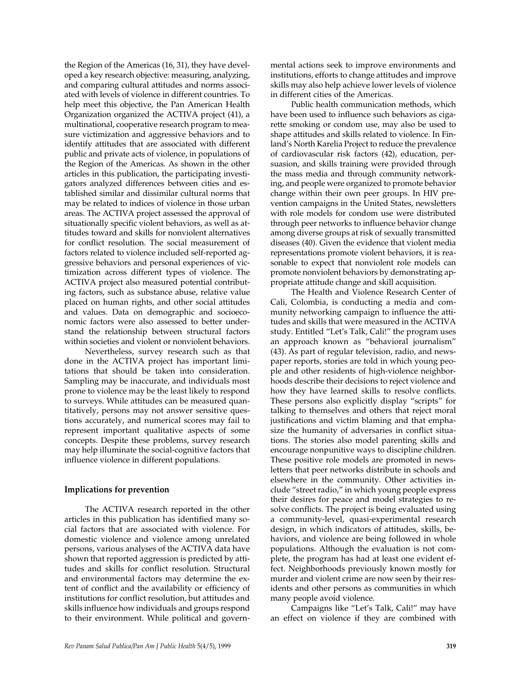the Region of the Americas (16, 31), they have developed a key research objective: measuring, analyzing, and comparing cultural attitudes and norms associated with levels of violence in different countries. To help meet this objective, the Pan American Health Organization organized the ACTIVA project (41), a multinational, cooperative research program to measure victimization and aggressive behaviors and to identify attitudes that are associated with different public and private acts of violence, in populations of the Region of the Americas. As shown in the other articles in this publication, the participating investigators analyzed differences between cities and established similar and dissimilar cultural norms that may be related to indices of violence in those urban areas. The ACTIVA project assessed the approval of situationally specific violent behaviors, as well as attitudes toward and skills for nonviolent alternatives for conflict resolution. The social measurement of factors related to violence included self-reported aggressive behaviors and personal experiences of victimization across different types of violence. The ACTIVA project also measured potential contributing factors, such as substance abuse, relative value placed on human rights, and other social attitudes and values. Data on demographic and socioeconomic factors were also assessed to better understand the relationship between structural factors within societies and violent or nonviolent behaviors.

Nevertheless, survey research such as that done in the ACTIVA project has important limitations that should be taken into consideration. Sampling may be inaccurate, and individuals most prone to violence may be the least likely to respond to surveys. While attitudes can be measured quantitatively, persons may not answer sensitive questions accurately, and numerical scores may fail to represent important qualitative aspects of some concepts. Despite these problems, survey research may help illuminate the social-cognitive factors that influence violence in different populations.

#### **Implications for prevention**

The ACTIVA research reported in the other articles in this publication has identified many social factors that are associated with violence. For domestic violence and violence among unrelated persons, various analyses of the ACTIVA data have shown that reported aggression is predicted by attitudes and skills for conflict resolution. Structural and environmental factors may determine the extent of conflict and the availability or efficiency of institutions for conflict resolution, but attitudes and skills influence how individuals and groups respond to their environment. While political and governmental actions seek to improve environments and institutions, efforts to change attitudes and improve skills may also help achieve lower levels of violence in different cities of the Americas.

Public health communication methods, which have been used to influence such behaviors as cigarette smoking or condom use, may also be used to shape attitudes and skills related to violence. In Finland's North Karelia Project to reduce the prevalence of cardiovascular risk factors (42), education, persuasion, and skills training were provided through the mass media and through community networking, and people were organized to promote behavior change within their own peer groups. In HIV prevention campaigns in the United States, newsletters with role models for condom use were distributed through peer networks to influence behavior change among diverse groups at risk of sexually transmitted diseases (40). Given the evidence that violent media representations promote violent behaviors, it is reasonable to expect that nonviolent role models can promote nonviolent behaviors by demonstrating appropriate attitude change and skill acquisition.

The Health and Violence Research Center of Cali, Colombia, is conducting a media and community networking campaign to influence the attitudes and skills that were measured in the ACTIVA study. Entitled "Let's Talk, Cali!" the program uses an approach known as "behavioral journalism" (43). As part of regular television, radio, and newspaper reports, stories are told in which young people and other residents of high-violence neighborhoods describe their decisions to reject violence and how they have learned skills to resolve conflicts. These persons also explicitly display "scripts" for talking to themselves and others that reject moral justifications and victim blaming and that emphasize the humanity of adversaries in conflict situations. The stories also model parenting skills and encourage nonpunitive ways to discipline children. These positive role models are promoted in newsletters that peer networks distribute in schools and elsewhere in the community. Other activities include "street radio," in which young people express their desires for peace and model strategies to resolve conflicts. The project is being evaluated using a community-level, quasi-experimental research design, in which indicators of attitudes, skills, behaviors, and violence are being followed in whole populations. Although the evaluation is not complete, the program has had at least one evident effect. Neighborhoods previously known mostly for murder and violent crime are now seen by their residents and other persons as communities in which many people avoid violence.

Campaigns like "Let's Talk, Cali!" may have an effect on violence if they are combined with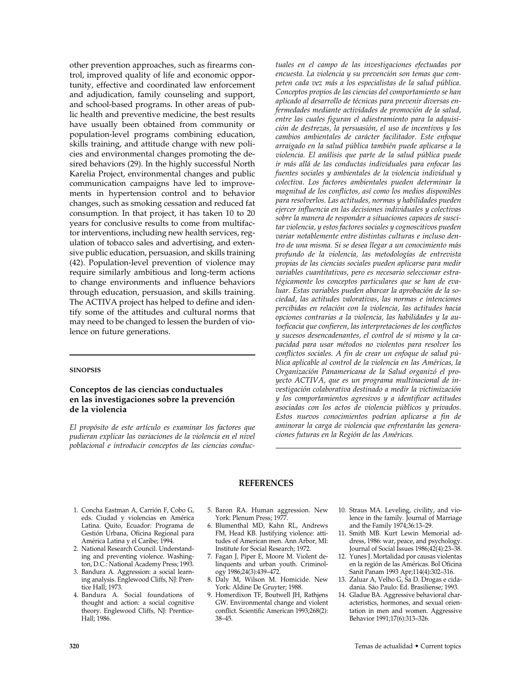other prevention approaches, such as firearms control, improved quality of life and economic opportunity, effective and coordinated law enforcement and adjudication, family counseling and support, and school-based programs. In other areas of public health and preventive medicine, the best results have usually been obtained from community or population-level programs combining education, skills training, and attitude change with new policies and environmental changes promoting the desired behaviors (29). In the highly successful North Karelia Project, environmental changes and public communication campaigns have led to improvements in hypertension control and to behavior changes, such as smoking cessation and reduced fat consumption. In that project, it has taken 10 to 20 years for conclusive results to come from multifactor interventions, including new health services, regulation of tobacco sales and advertising, and extensive public education, persuasion, and skills training (42). Population-level prevention of violence may require similarly ambitious and long-term actions to change environments and influence behaviors through education, persuasion, and skills training. The ACTIVA project has helped to define and identify some of the attitudes and cultural norms that may need to be changed to lessen the burden of violence on future generations.

#### **SINOPSIS**

#### **Conceptos de las ciencias conductuales en las investigaciones sobre la prevención de la violencia**

*El propósito de este artículo es examinar los factores que pudieran explicar las variaciones de la violencia en el nivel poblacional e introducir conceptos de las ciencias conduc-* *tuales en el campo de las investigaciones efectuadas por encuesta. La violencia y su prevención son temas que competen cada vez más a los especialistas de la salud pública. Conceptos propios de las ciencias del comportamiento se han aplicado al desarrollo de técnicas para prevenir diversas enfermedades mediante actividades de promoción de la salud, entre las cuales figuran el adiestramiento para la adquisición de destrezas, la persuasión, el uso de incentivos y los cambios ambientales de carácter facilitador. Este enfoque arraigado en la salud pública también puede aplicarse a la violencia. El análisis que parte de la salud pública puede ir más allá de las conductas individuales para enfocar las fuentes sociales y ambientales de la violencia individual y colectiva. Los factores ambientales pueden determinar la magnitud de los conflictos, así como los medios disponibles para resolverlos. Las actitudes, normas y habilidades pueden ejercer influencia en las decisiones individuales y colectivas sobre la manera de responder a situaciones capaces de suscitar violencia, y estos factores sociales y cognoscitivos pueden variar notablemente entre distintas culturas e incluso dentro de una misma. Si se desea llegar a un conocimiento más profundo de la violencia, las metodologías de entrevista propias de las ciencias sociales pueden aplicarse para medir variables cuantitativas, pero es necesario seleccionar estratégicamente los conceptos particulares que se han de evaluar. Estas variables pueden abarcar la aprobación de la sociedad, las actitudes valorativas, las normas e intenciones percibidas en relación con la violencia, las actitudes hacia opciones contrarias a la violencia, las habilidades y la autoeficacia que confieren, las interpretaciones de los conflictos y sucesos desencadenantes, el control de sí mismo y la capacidad para usar métodos no violentos para resolver los conflictos sociales. A fin de crear un enfoque de salud pública aplicable al control de la violencia en las Américas, la Organización Panamericana de la Salud organizó el proyecto ACTIVA, que es un programa multinacional de investigación colaborativa destinado a medir la victimización y los comportamientos agresivos y a identificar actitudes asociadas con los actos de violencia públicos y privados. Estos nuevos conocimientos podrían aplicarse a fin de aminorar la carga de violencia que enfrentarán las generaciones futuras en la Región de las Américas.*

#### **REFERENCES**

- 1. Concha Eastman A, Carrión F, Cobo G, eds. Ciudad y violencias en América Latina. Quito, Ecuador: Programa de Gestión Urbana, Oficina Regional para América Latina y el Caribe; 1994.
- 2. National Research Council. Understanding and preventing violence. Washington, D.C.: National Academy Press; 1993.
- 3. Bandura A. Aggression: a social learning analysis. Englewood Cliffs, NJ: Prentice Hall; 1973.
- 4. Bandura A. Social foundations of thought and action: a social cognitive theory. Englewood Cliffs, NJ: Prentice-Hall; 1986.
- 5. Baron RA. Human aggression. New York: Plenum Press; 1977.
- 6. Blumenthal MD, Kahn RL, Andrews FM, Head KB. Justifying violence: attitudes of American men. Ann Arbor, MI: Institute for Social Research; 1972.
- 7. Fagan J, Piper E, Moore M. Violent delinquents and urban youth. Criminology 1986;24(3):439–472.
- 8. Daly M, Wilson M. Homicide. New York: Aldine De Gruyter; 1988.
- 9. Homerdixon TF, Boutwell JH, Rathjens GW. Environmental change and violent conflict. Scientific American 1993;268(2): 38–45.
- 10. Straus MA. Leveling, civility, and violence in the family. Journal of Marriage and the Family 1974;36:13–29.
- 11. Smith MB. Kurt Lewin Memorial address, 1986: war, peace, and psychology. Journal of Social Issues 1986;42(4):23–38.
- 12. Yunes J. Mortalidad por causas violentas en la región de las Américas. Bol Oficina Sanit Panam 1993 Apr;114(4):302–316.
- 13. Zaluar A, Velho G, Sa D. Drogas e cidadania. São Paulo: Ed. Brasiliense; 1993.
- 14. Gladue BA. Aggressive behavioral characteristics, hormones, and sexual orientation in men and women. Aggressive Behavior 1991;17(6):313–326.